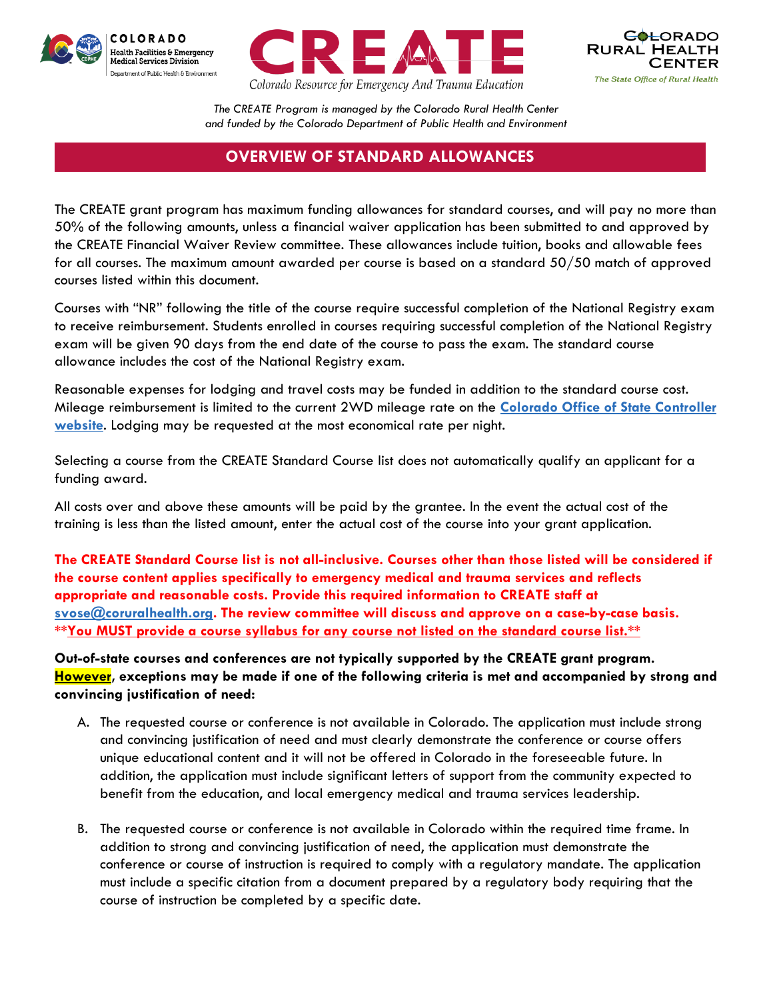





*The CREATE Program is managed by the Colorado Rural Health Center and funded by the Colorado Department of Public Health and Environment*

## **OVERVIEW OF STANDARD ALLOWANCES**

The CREATE grant program has maximum funding allowances for standard courses, and will pay no more than 50% of the following amounts, unless a financial waiver application has been submitted to and approved by the CREATE Financial Waiver Review committee. These allowances include tuition, books and allowable fees for all courses. The maximum amount awarded per course is based on a standard 50/50 match of approved courses listed within this document.

Courses with "NR" following the title of the course require successful completion of the National Registry exam to receive reimbursement. Students enrolled in courses requiring successful completion of the National Registry exam will be given 90 days from the end date of the course to pass the exam. The standard course allowance includes the cost of the National Registry exam.

Reasonable expenses for lodging and travel costs may be funded in addition to the standard course cost. Mileage reimbursement is limited to the current 2WD mileage rate on the **[Colorado Office of State Controller](https://osc.colorado.gov/financial-operations/fiscal-rules-procedures/mileage-reimbursement-rate)  [website](https://osc.colorado.gov/financial-operations/fiscal-rules-procedures/mileage-reimbursement-rate)**. Lodging may be requested at the most economical rate per night.

Selecting a course from the CREATE Standard Course list does not automatically qualify an applicant for a funding award.

All costs over and above these amounts will be paid by the grantee. In the event the actual cost of the training is less than the listed amount, enter the actual cost of the course into your grant application.

**The CREATE Standard Course list is not all-inclusive. Courses other than those listed will be considered if the course content applies specifically to emergency medical and trauma services and reflects appropriate and reasonable costs. Provide this required information to CREATE staff at [svose@coruralhealth.org.](mailto:svose@coruralhealth.org) The review committee will discuss and approve on a case-by-case basis. \*\*You MUST provide a course syllabus for any course not listed on the standard course list.\*\***

**Out-of-state courses and conferences are not typically supported by the CREATE grant program. However, exceptions may be made if one of the following criteria is met and accompanied by strong and convincing justification of need:**

- A. The requested course or conference is not available in Colorado. The application must include strong and convincing justification of need and must clearly demonstrate the conference or course offers unique educational content and it will not be offered in Colorado in the foreseeable future. In addition, the application must include significant letters of support from the community expected to benefit from the education, and local emergency medical and trauma services leadership.
- B. The requested course or conference is not available in Colorado within the required time frame. In addition to strong and convincing justification of need, the application must demonstrate the conference or course of instruction is required to comply with a regulatory mandate. The application must include a specific citation from a document prepared by a regulatory body requiring that the course of instruction be completed by a specific date.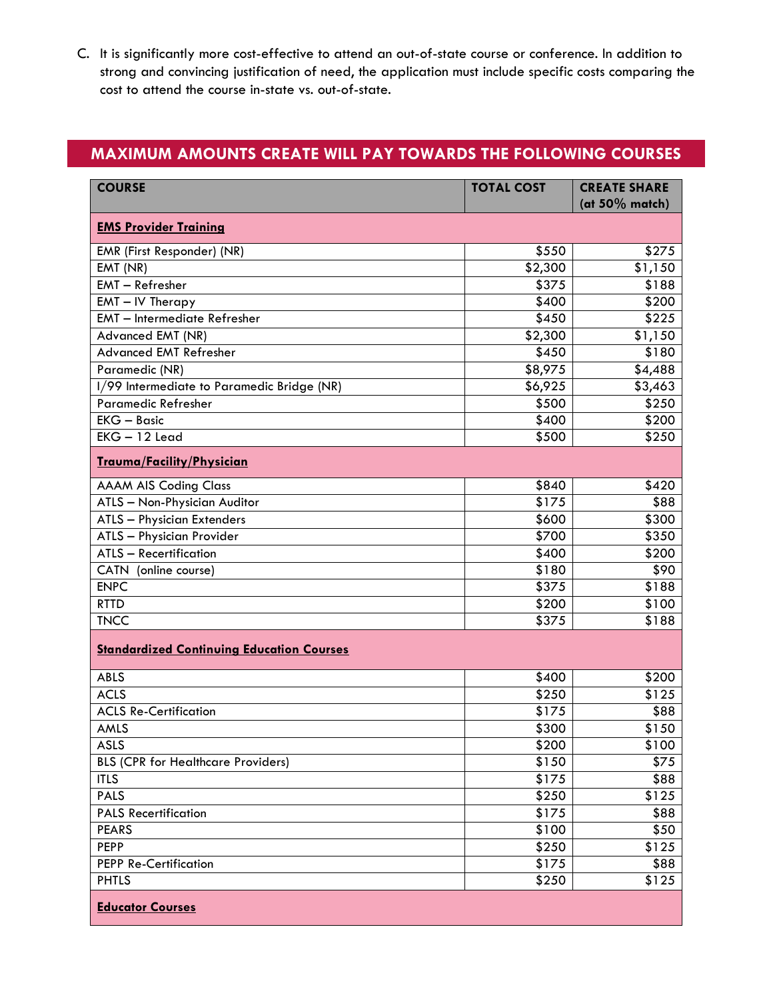C. It is significantly more cost-effective to attend an out-of-state course or conference. In addition to strong and convincing justification of need, the application must include specific costs comparing the cost to attend the course in-state vs. out-of-state.

## **MAXIMUM AMOUNTS CREATE WILL PAY TOWARDS THE FOLLOWING COURSES**

| <b>COURSE</b>                                    | <b>TOTAL COST</b> | <b>CREATE SHARE</b><br>(at $50\%$ match) |  |
|--------------------------------------------------|-------------------|------------------------------------------|--|
| <b>EMS Provider Training</b>                     |                   |                                          |  |
| EMR (First Responder) (NR)                       | \$550             | \$275                                    |  |
| EMT (NR)                                         | \$2,300           | $\overline{$1,150}$                      |  |
| EMT - Refresher                                  | \$375             | \$188                                    |  |
| EMT - IV Therapy                                 | \$400             | \$200                                    |  |
| <b>EMT</b> - Intermediate Refresher              | \$450             | \$225                                    |  |
| Advanced EMT (NR)                                | \$2,300           | \$1,150                                  |  |
| <b>Advanced EMT Refresher</b>                    | \$450             | \$180                                    |  |
| Paramedic (NR)                                   | \$8,975           | \$4,488                                  |  |
| 1/99 Intermediate to Paramedic Bridge (NR)       | \$6,925           | \$3,463                                  |  |
| Paramedic Refresher                              | \$500             | \$250                                    |  |
| $EKG - Basic$                                    | \$400             | \$200                                    |  |
| $EKG - 12$ Lead                                  | \$500             | \$250                                    |  |
| Trauma/Facility/Physician                        |                   |                                          |  |
| <b>AAAM AIS Coding Class</b>                     | \$840             | \$420                                    |  |
| ATLS - Non-Physician Auditor                     | \$175             | \$88                                     |  |
| <b>ATLS - Physician Extenders</b>                | \$600             | \$300                                    |  |
| ATLS - Physician Provider                        | \$700             | \$350                                    |  |
| ATLS - Recertification                           | \$400             | \$200                                    |  |
| CATN (online course)                             | \$180             | \$90                                     |  |
| <b>ENPC</b>                                      | \$375             | \$188                                    |  |
| <b>RTTD</b>                                      | \$200             | \$100                                    |  |
| <b>TNCC</b>                                      | \$375             | \$188                                    |  |
| <b>Standardized Continuing Education Courses</b> |                   |                                          |  |
| <b>ABLS</b>                                      | \$400             | \$200                                    |  |
| <b>ACLS</b>                                      | \$250             | \$125                                    |  |
| <b>ACLS Re-Certification</b>                     | \$175             | \$88                                     |  |
| AMLS                                             | \$300             | \$150                                    |  |
| ASLS                                             | \$200             | \$100                                    |  |
| <b>BLS (CPR for Healthcare Providers)</b>        | \$150             | \$75                                     |  |
| <b>ITLS</b>                                      | \$175             | \$88                                     |  |
| PALS                                             | \$250             | \$125                                    |  |
| <b>PALS Recertification</b>                      | \$175             | \$88                                     |  |
| <b>PEARS</b>                                     | \$100             | \$50                                     |  |
| <b>PEPP</b>                                      | \$250             | \$125                                    |  |
| <b>PEPP Re-Certification</b>                     | \$175             | \$88                                     |  |
| <b>PHTLS</b>                                     | \$250             | \$125                                    |  |
| <b>Educator Courses</b>                          |                   |                                          |  |